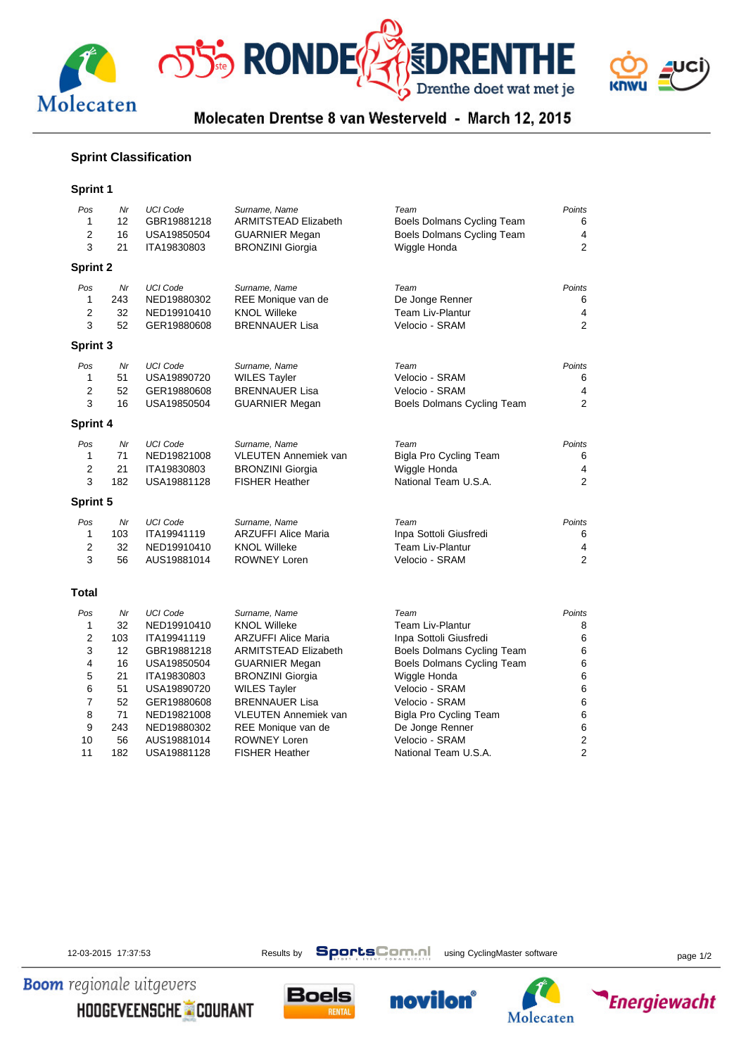



Molecaten Drentse 8 van Westerveld - March 12, 2015

## **Sprint Classification**

### **Sprint 1**

| Pos<br>1<br>$\overline{2}$<br>3 | Nr<br>12<br>16<br>21 | <b>UCI Code</b><br>GBR19881218<br>USA19850504<br>ITA19830803 | Surname, Name<br><b>ARMITSTEAD Elizabeth</b><br><b>GUARNIER Megan</b><br><b>BRONZINI Giorgia</b> | Team<br>Boels Dolmans Cycling Team<br>Boels Dolmans Cycling Team<br>Wiggle Honda | Points<br>6<br>4<br>2 |
|---------------------------------|----------------------|--------------------------------------------------------------|--------------------------------------------------------------------------------------------------|----------------------------------------------------------------------------------|-----------------------|
| <b>Sprint 2</b>                 |                      |                                                              |                                                                                                  |                                                                                  |                       |
| Pos                             | Nr                   | <b>UCI Code</b>                                              | Surname, Name                                                                                    | Team                                                                             | Points                |
| 1<br>$\overline{2}$             | 243<br>32            | NED19880302                                                  | REE Monique van de                                                                               | De Jonge Renner<br>Team Liv-Plantur                                              | 6                     |
| 3                               | 52                   | NED19910410<br>GER19880608                                   | <b>KNOL Willeke</b><br><b>BRENNAUER Lisa</b>                                                     | Velocio - SRAM                                                                   | 4<br>2                |
|                                 |                      |                                                              |                                                                                                  |                                                                                  |                       |
| Sprint 3                        |                      |                                                              |                                                                                                  |                                                                                  |                       |
| Pos                             | Nr                   | <b>UCI Code</b>                                              | Surname, Name                                                                                    | Team                                                                             | Points                |
| $\mathbf{1}$                    | 51                   | USA19890720                                                  | <b>WILES Tayler</b>                                                                              | Velocio - SRAM                                                                   | 6                     |
| $\overline{2}$<br>3             | 52<br>16             | GER19880608                                                  | BRENNAUER Lisa                                                                                   | Velocio - SRAM                                                                   | 4<br>2                |
|                                 |                      | USA19850504                                                  | <b>GUARNIER Megan</b>                                                                            | Boels Dolmans Cycling Team                                                       |                       |
| Sprint 4                        |                      |                                                              |                                                                                                  |                                                                                  |                       |
| Pos                             | Nr                   | <b>UCI Code</b>                                              | Surname, Name                                                                                    | Team                                                                             | Points                |
| 1                               | 71                   | NED19821008                                                  | VLEUTEN Annemiek van                                                                             | Bigla Pro Cycling Team                                                           | 6                     |
| $\overline{2}$                  | 21                   | ITA19830803                                                  | <b>BRONZINI Giorgia</b>                                                                          | Wiggle Honda                                                                     | 4                     |
| 3                               | 182                  | USA19881128                                                  | <b>FISHER Heather</b>                                                                            | National Team U.S.A.                                                             | $\overline{2}$        |
| Sprint 5                        |                      |                                                              |                                                                                                  |                                                                                  |                       |
| Pos                             | Nr                   | <b>UCI Code</b>                                              | Surname, Name                                                                                    | Team                                                                             | Points                |
| 1                               | 103                  | ITA19941119                                                  | ARZUFFI Alice Maria                                                                              | Inpa Sottoli Giusfredi                                                           | 6                     |
| $\overline{2}$                  | 32                   | NED19910410                                                  | <b>KNOL Willeke</b>                                                                              | <b>Team Liv-Plantur</b>                                                          | 4                     |
| 3                               | 56                   | AUS19881014                                                  | <b>ROWNEY Loren</b>                                                                              | Velocio - SRAM                                                                   | $\overline{2}$        |
| <b>Total</b>                    |                      |                                                              |                                                                                                  |                                                                                  |                       |
| Pos                             | Nr                   | <b>UCI Code</b>                                              |                                                                                                  | Team                                                                             | Points                |
| 1                               | 32                   | NED19910410                                                  | Surname, Name<br><b>KNOL Willeke</b>                                                             | <b>Team Liv-Plantur</b>                                                          | 8                     |
| 2                               | 103                  | ITA19941119                                                  | <b>ARZUFFI Alice Maria</b>                                                                       | Inpa Sottoli Giusfredi                                                           | 6                     |
| 3                               | 12                   | GBR19881218                                                  | <b>ARMITSTEAD Elizabeth</b>                                                                      | Boels Dolmans Cycling Team                                                       | 6                     |
| 4                               | 16                   | USA19850504                                                  | <b>GUARNIER Megan</b>                                                                            | Boels Dolmans Cycling Team                                                       | 6                     |
| 5                               | 21                   | ITA19830803                                                  | <b>BRONZINI Giorgia</b>                                                                          | Wiggle Honda                                                                     | 6                     |
| 6                               | 51                   | USA19890720                                                  | <b>WILES Tayler</b>                                                                              | Velocio - SRAM                                                                   | 6                     |
| 7                               | 52                   | GER19880608                                                  | <b>BRENNAUER Lisa</b>                                                                            | Velocio - SRAM                                                                   | 6                     |
| 8                               | 71                   | NED19821008                                                  | <b>VLEUTEN Annemiek van</b>                                                                      | Bigla Pro Cycling Team                                                           | 6                     |
| 9                               | 243                  | NED19880302                                                  | REE Monique van de                                                                               | De Jonge Renner                                                                  | 6                     |
| 10                              | 56                   | AUS19881014                                                  | <b>ROWNEY Loren</b>                                                                              | Velocio - SRAM                                                                   | 2                     |
| 11                              | 182                  | USA19881128                                                  | <b>FISHER Heather</b>                                                                            | National Team U.S.A.                                                             | $\overline{2}$        |

**Boom** regionale uitgevers

12-03-2015 17:37:53 Results by **SportsComment** using CyclingMaster software page 1/2

novilon®